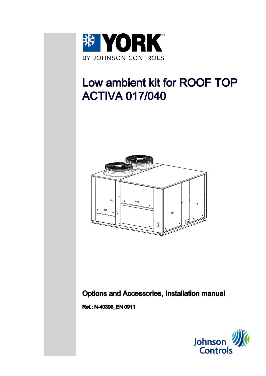

# Low ambient kit for ROOF TOP ACTIVA 017/040



Options and Accessories, Installation manual

Ref.: N-40398\_EN 0911

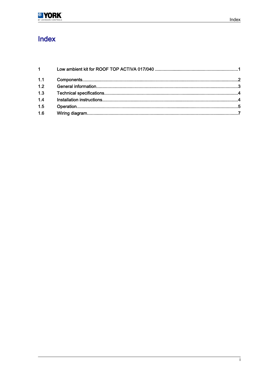

# Index

| $1 \qquad \qquad$ |  |
|-------------------|--|
| 1.1               |  |
| 1.2               |  |
| 1.3               |  |
| 1.4               |  |
| 1.5               |  |
| 1.6               |  |
|                   |  |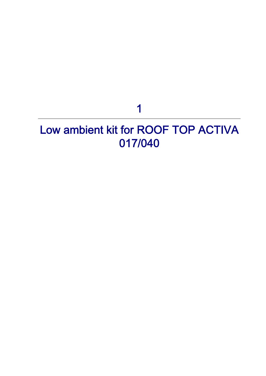# 1

# <span id="page-2-0"></span>Low ambient kit for ROOF TOP ACTIVA 017/040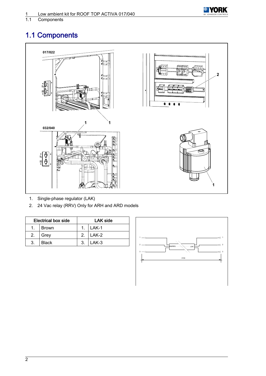<span id="page-3-0"></span>



Components

# 1.1 Components



- 1. Single-phase regulator (LAK)
- 2. 24 Vac relay (RRV) Only for ARH and ARD models

| <b>Electrical box side</b> |              | LAK side       |         |
|----------------------------|--------------|----------------|---------|
|                            | <b>Brown</b> | $\mathbf{1}$   | $LAK-1$ |
| 2.                         | Grey         | 2 <sub>1</sub> | LAK-2   |
| -3.                        | <b>Black</b> | 3.             | LAK-3   |

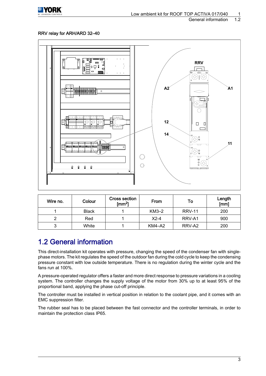<span id="page-4-0"></span>

#### RRV relay for ARH/ARD 32–40



| Wire no. | Colour       | <b>Cross section</b><br>From<br>To<br>$\text{Im}^2$ |               | Length<br>[mm] |     |
|----------|--------------|-----------------------------------------------------|---------------|----------------|-----|
|          | <b>Black</b> |                                                     | $KM3-2$       | <b>RRV-11</b>  | 200 |
| ◠        | Red          |                                                     | $X2-4$        | RRV-A1         | 900 |
| 3        | White        |                                                     | <b>KM4-A2</b> | RRV-A2         | 200 |

### 1.2 General information

This direct-installation kit operates with pressure, changing the speed of the condenser fan with singlephase motors. The kit regulates the speed of the outdoor fan during the cold cycle to keep the condensing pressure constant with low outside temperature. There is no regulation during the winter cycle and the fans run at 100%.

A pressure-operated regulator offers a faster and more direct response to pressure variations in a cooling system. The controller changes the supply voltage of the motor from 30% up to at least 95% of the proportional band, applying the phase cut-off principle.

The controller must be installed in vertical position in relation to the coolant pipe, and it comes with an EMC suppression filter.

The rubber seal has to be placed between the fast connector and the controller terminals, in order to maintain the protection class IP65.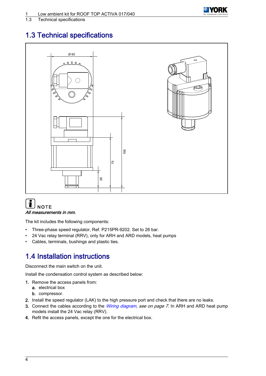

#### <span id="page-5-0"></span>1.3 Technical specifications

## 1.3 Technical specifications



#### $\mathbf{i}$ **NOTE** All measurements in mm.

The kit includes the following components:

- Three-phase speed regulator, Ref. P215PR-9202. Set to 26 bar.
- 24 Vac relay terminal (RRV), only for ARH and ARD models, heat pumps
- Cables, terminals, bushings and plastic ties.

## 1.4 Installation instructions

Disconnect the main switch on the unit.

Install the condensation control system as described below:

- 1. Remove the access panels from:
	- a. electrical box
	- b. compressor.
- 2. Install the speed regulator (LAK) to the high pressure port and check that there are no leaks.
- 3. Connect the cables according to the *[Wiring diagram](#page-8-0), see on page 7*. In ARH and ARD heat pump models install the 24 Vac relay (RRV).
- 4. Refit the access panels, except the one for the electrical box.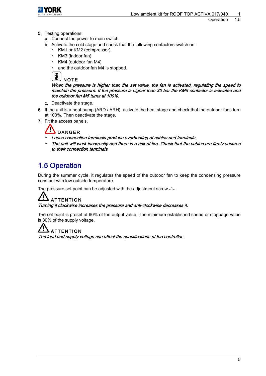<span id="page-6-0"></span>

- 5. Testing operations:
	- a. Connect the power to main switch.
	- b. Activate the cold stage and check that the following contactors switch on:
		- KM1 or KM2 (compressor),
		- KM3 (indoor fan),
		- KM4 (outdoor fan M4)
		- and the outdoor fan M4 is stopped.

### **NOTE**

When the pressure is higher than the set value, the fan is activated, regulating the speed to maintain the pressure. If the pressure is higher than 30 bar the KM5 contactor is activated and the outdoor fan M5 turns at 100%.

- c. Deactivate the stage.
- 6. If the unit is a heat pump (ARD / ARH), activate the heat stage and check that the outdoor fans turn at 100%. Then deactivate the stage.
- 7. Fit the access panels.

### $\overline{\phantom{a}}$  DANGER

•

- Loose connection terminals produce overheating of cables and terminals.
- • The unit will work incorrectly and there is a risk of fire. Check that the cables are firmly secured to their connection terminals.

## 1.5 Operation

During the summer cycle, it regulates the speed of the outdoor fan to keep the condensing pressure constant with low outside temperature.

The pressure set point can be adjusted with the adjustment screw -1-.

# **ATTENTION**

Turning it clockwise increases the pressure and anti-clockwise decreases it.

The set point is preset at 90% of the output value. The minimum established speed or stoppage value is 30% of the supply voltage.

### **ATTENTION**

The load and supply voltage can affect the specifications of the controller.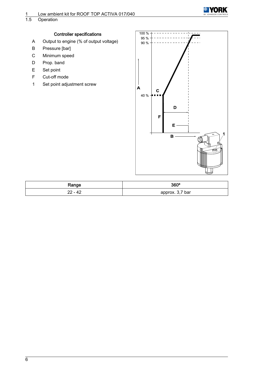

Operation

#### Controller specifications

- A Output to engine (% of output voltage)
- B Pressure [bar]
- C Minimum speed
- D Prop. band
- E Set point
- F Cut-off mode
- 1 Set point adjustment screw



| Range | 360°            |
|-------|-----------------|
| - 42  | approx. 3,7 bar |